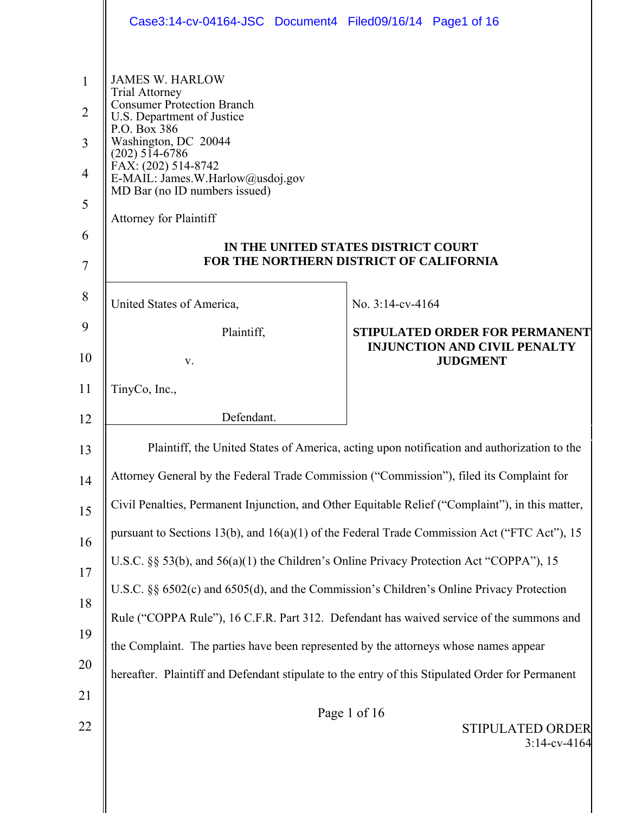|                                                                                   | Case3:14-cv-04164-JSC Document4 Filed09/16/14 Page1 of 16                                                                                                                                                                                                                                                   |                                                                                                  |  |  |  |
|-----------------------------------------------------------------------------------|-------------------------------------------------------------------------------------------------------------------------------------------------------------------------------------------------------------------------------------------------------------------------------------------------------------|--------------------------------------------------------------------------------------------------|--|--|--|
| $\mathbf{1}$<br>$\overline{2}$<br>3<br>$\overline{4}$<br>5<br>6<br>$\overline{7}$ | <b>JAMES W. HARLOW</b><br><b>Trial Attorney</b><br><b>Consumer Protection Branch</b><br>U.S. Department of Justice<br>P.O. Box 386<br>Washington, DC 20044<br>$(202)$ 514-6786<br>FAX: (202) 514-8742<br>E-MAIL: James.W.Harlow@usdoj.gov<br>MD Bar (no ID numbers issued)<br><b>Attorney for Plaintiff</b> | IN THE UNITED STATES DISTRICT COURT<br>FOR THE NORTHERN DISTRICT OF CALIFORNIA                   |  |  |  |
| 8                                                                                 | United States of America,                                                                                                                                                                                                                                                                                   | No. $3:14$ -cv-4164                                                                              |  |  |  |
| 9<br>10                                                                           | Plaintiff,<br>V.                                                                                                                                                                                                                                                                                            | STIPULATED ORDER FOR PERMANENT<br><b>INJUNCTION AND CIVIL PENALTY</b><br><b>JUDGMENT</b>         |  |  |  |
| 11                                                                                | TinyCo, Inc.,                                                                                                                                                                                                                                                                                               |                                                                                                  |  |  |  |
| 12                                                                                | Defendant.                                                                                                                                                                                                                                                                                                  |                                                                                                  |  |  |  |
| 13                                                                                |                                                                                                                                                                                                                                                                                                             |                                                                                                  |  |  |  |
|                                                                                   | Plaintiff, the United States of America, acting upon notification and authorization to the<br>Attorney General by the Federal Trade Commission ("Commission"), filed its Complaint for                                                                                                                      |                                                                                                  |  |  |  |
| 14                                                                                |                                                                                                                                                                                                                                                                                                             | Civil Penalties, Permanent Injunction, and Other Equitable Relief ("Complaint"), in this matter, |  |  |  |
| 15                                                                                | pursuant to Sections 13(b), and 16(a)(1) of the Federal Trade Commission Act ("FTC Act"), 15                                                                                                                                                                                                                |                                                                                                  |  |  |  |
| 16                                                                                | U.S.C. §§ 53(b), and 56(a)(1) the Children's Online Privacy Protection Act "COPPA"), 15                                                                                                                                                                                                                     |                                                                                                  |  |  |  |
| 17                                                                                | U.S.C. §§ 6502(c) and 6505(d), and the Commission's Children's Online Privacy Protection                                                                                                                                                                                                                    |                                                                                                  |  |  |  |
| 18                                                                                | Rule ("COPPA Rule"), 16 C.F.R. Part 312. Defendant has waived service of the summons and                                                                                                                                                                                                                    |                                                                                                  |  |  |  |
| 19                                                                                | the Complaint. The parties have been represented by the attorneys whose names appear                                                                                                                                                                                                                        |                                                                                                  |  |  |  |
| 20                                                                                | hereafter. Plaintiff and Defendant stipulate to the entry of this Stipulated Order for Permanent                                                                                                                                                                                                            |                                                                                                  |  |  |  |
| 21<br>22                                                                          |                                                                                                                                                                                                                                                                                                             | Page 1 of 16<br>STIPULATED ORDER<br>$3:14$ -cv-4164                                              |  |  |  |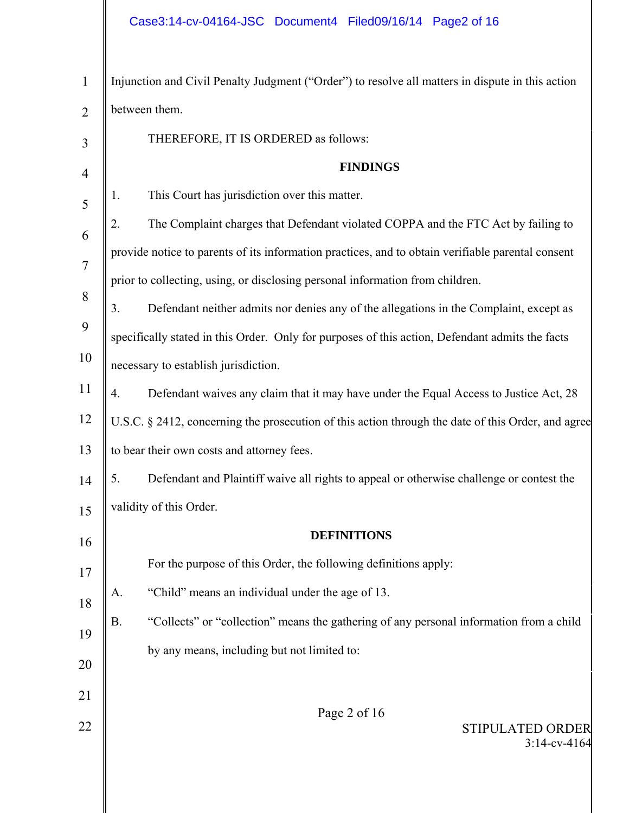| $\mathbf{1}$   | Injunction and Civil Penalty Judgment ("Order") to resolve all matters in dispute in this action     |  |  |  |  |
|----------------|------------------------------------------------------------------------------------------------------|--|--|--|--|
| $\overline{2}$ | between them.                                                                                        |  |  |  |  |
| 3              | THEREFORE, IT IS ORDERED as follows:                                                                 |  |  |  |  |
| $\overline{4}$ | <b>FINDINGS</b>                                                                                      |  |  |  |  |
| 5              | This Court has jurisdiction over this matter.<br>1.                                                  |  |  |  |  |
| 6              | The Complaint charges that Defendant violated COPPA and the FTC Act by failing to<br>2.              |  |  |  |  |
| $\overline{7}$ | provide notice to parents of its information practices, and to obtain verifiable parental consent    |  |  |  |  |
|                | prior to collecting, using, or disclosing personal information from children.                        |  |  |  |  |
| 8              | Defendant neither admits nor denies any of the allegations in the Complaint, except as<br>3.         |  |  |  |  |
| 9              | specifically stated in this Order. Only for purposes of this action, Defendant admits the facts      |  |  |  |  |
| 10             | necessary to establish jurisdiction.                                                                 |  |  |  |  |
| 11             | Defendant waives any claim that it may have under the Equal Access to Justice Act, 28<br>4.          |  |  |  |  |
| 12             | U.S.C. § 2412, concerning the prosecution of this action through the date of this Order, and agree   |  |  |  |  |
| 13             | to bear their own costs and attorney fees.                                                           |  |  |  |  |
| 14             | Defendant and Plaintiff waive all rights to appeal or otherwise challenge or contest the<br>5.       |  |  |  |  |
| 15             | validity of this Order.                                                                              |  |  |  |  |
| 16             | <b>DEFINITIONS</b>                                                                                   |  |  |  |  |
| 17             | For the purpose of this Order, the following definitions apply:                                      |  |  |  |  |
| 18             | "Child" means an individual under the age of 13.<br>A.                                               |  |  |  |  |
| 19             | <b>B.</b><br>"Collects" or "collection" means the gathering of any personal information from a child |  |  |  |  |
|                | by any means, including but not limited to:                                                          |  |  |  |  |
| 20             |                                                                                                      |  |  |  |  |
| 21             | Page 2 of 16                                                                                         |  |  |  |  |
| 22             | STIPULATED ORDER<br>$3:14$ -cv-4164                                                                  |  |  |  |  |
|                |                                                                                                      |  |  |  |  |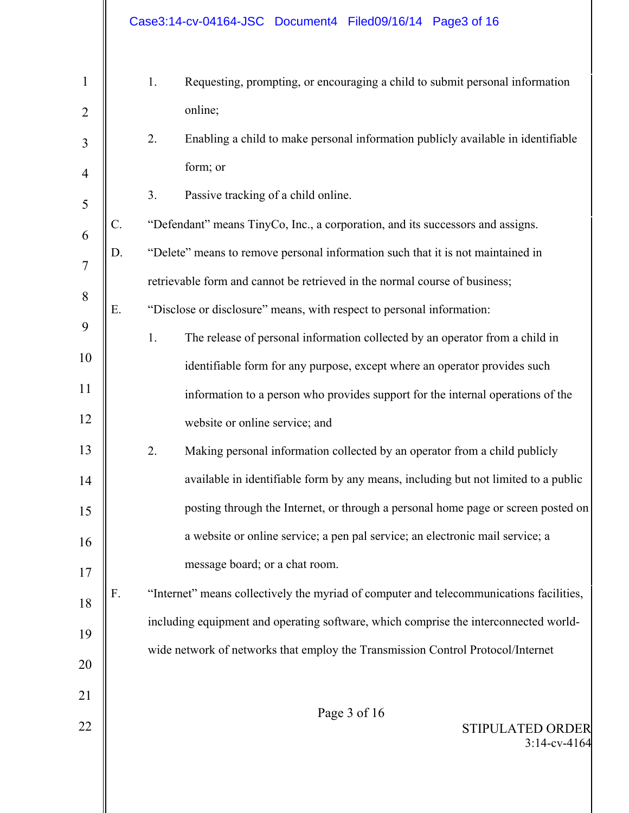|                                |                 | Case3:14-cv-04164-JSC Document4 Filed09/16/14 Page3 of 16                                                                                                                               |
|--------------------------------|-----------------|-----------------------------------------------------------------------------------------------------------------------------------------------------------------------------------------|
| $\mathbf{1}$<br>$\overline{2}$ |                 | 1.<br>Requesting, prompting, or encouraging a child to submit personal information<br>online;<br>2.<br>Enabling a child to make personal information publicly available in identifiable |
| 3                              |                 | form; or                                                                                                                                                                                |
| 4<br>5                         |                 | 3.<br>Passive tracking of a child online.                                                                                                                                               |
| 6                              | $\mathcal{C}$ . | "Defendant" means TinyCo, Inc., a corporation, and its successors and assigns.                                                                                                          |
| $\overline{7}$                 | D.              | "Delete" means to remove personal information such that it is not maintained in                                                                                                         |
| 8                              |                 | retrievable form and cannot be retrieved in the normal course of business;                                                                                                              |
| 9                              | Ε.              | "Disclose or disclosure" means, with respect to personal information:                                                                                                                   |
|                                |                 | 1.<br>The release of personal information collected by an operator from a child in                                                                                                      |
| 10                             |                 | identifiable form for any purpose, except where an operator provides such                                                                                                               |
| 11                             |                 | information to a person who provides support for the internal operations of the                                                                                                         |
| 12                             |                 | website or online service; and                                                                                                                                                          |
| 13                             |                 | 2.<br>Making personal information collected by an operator from a child publicly                                                                                                        |
| 14                             |                 | available in identifiable form by any means, including but not limited to a public                                                                                                      |
| 15                             |                 | posting through the Internet, or through a personal home page or screen posted on                                                                                                       |
| 16                             |                 | a website or online service; a pen pal service; an electronic mail service; a                                                                                                           |
| 17                             |                 | message board; or a chat room.                                                                                                                                                          |
| 18                             | F.              | "Internet" means collectively the myriad of computer and telecommunications facilities,                                                                                                 |
| 19                             |                 | including equipment and operating software, which comprise the interconnected world-                                                                                                    |
| 20                             |                 | wide network of networks that employ the Transmission Control Protocol/Internet                                                                                                         |
| 21                             |                 |                                                                                                                                                                                         |
| 22                             |                 | Page 3 of 16<br><b>STIPULATED ORDER</b><br>$3:14$ -cv-4164                                                                                                                              |
|                                |                 |                                                                                                                                                                                         |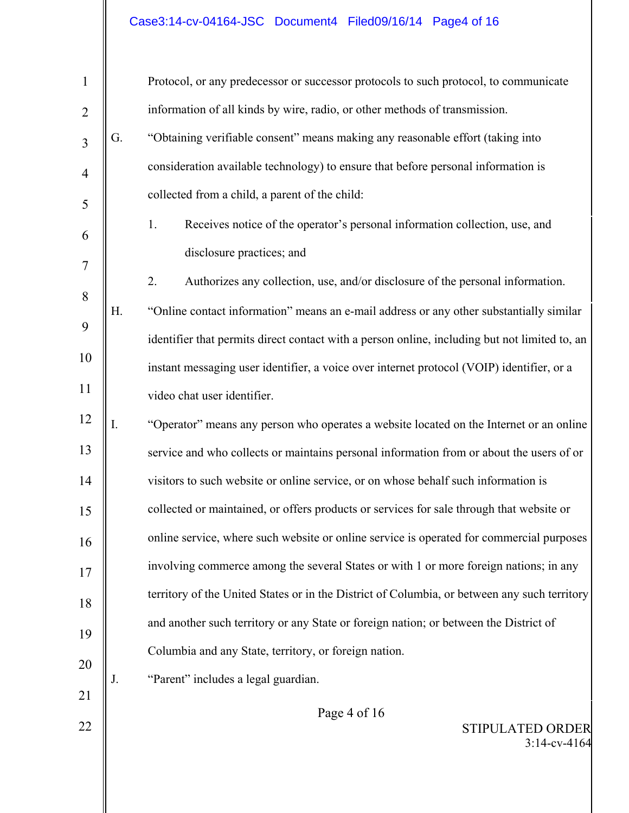# Case3:14-cv-04164-JSC Document4 Filed09/16/14 Page4 of 16

| $\mathbf{1}$   |    | Protocol, or any predecessor or successor protocols to such protocol, to communicate          |
|----------------|----|-----------------------------------------------------------------------------------------------|
| $\overline{2}$ |    | information of all kinds by wire, radio, or other methods of transmission.                    |
| 3              | G. | "Obtaining verifiable consent" means making any reasonable effort (taking into                |
| $\overline{4}$ |    | consideration available technology) to ensure that before personal information is             |
| 5              |    | collected from a child, a parent of the child:                                                |
| 6              |    | Receives notice of the operator's personal information collection, use, and<br>1.             |
| $\tau$         |    | disclosure practices; and                                                                     |
| 8              |    | 2.<br>Authorizes any collection, use, and/or disclosure of the personal information.          |
|                | Η. | "Online contact information" means an e-mail address or any other substantially similar       |
| 9              |    | identifier that permits direct contact with a person online, including but not limited to, an |
| 10             |    | instant messaging user identifier, a voice over internet protocol (VOIP) identifier, or a     |
| 11             |    | video chat user identifier.                                                                   |
| 12             | I. | "Operator" means any person who operates a website located on the Internet or an online       |
| 13             |    | service and who collects or maintains personal information from or about the users of or      |
| 14             |    | visitors to such website or online service, or on whose behalf such information is            |
| 15             |    | collected or maintained, or offers products or services for sale through that website or      |
| 16             |    | online service, where such website or online service is operated for commercial purposes      |
| 17             |    | involving commerce among the several States or with 1 or more foreign nations; in any         |
| 18             |    | territory of the United States or in the District of Columbia, or between any such territory  |
| 19             |    | and another such territory or any State or foreign nation; or between the District of         |
| 20             |    | Columbia and any State, territory, or foreign nation.                                         |
| 21             | J. | "Parent" includes a legal guardian.                                                           |
| 22             |    | Page 4 of 16                                                                                  |
|                |    | <b>STIPULATED ORDER</b><br>$3:14$ -cv-4164                                                    |
|                |    |                                                                                               |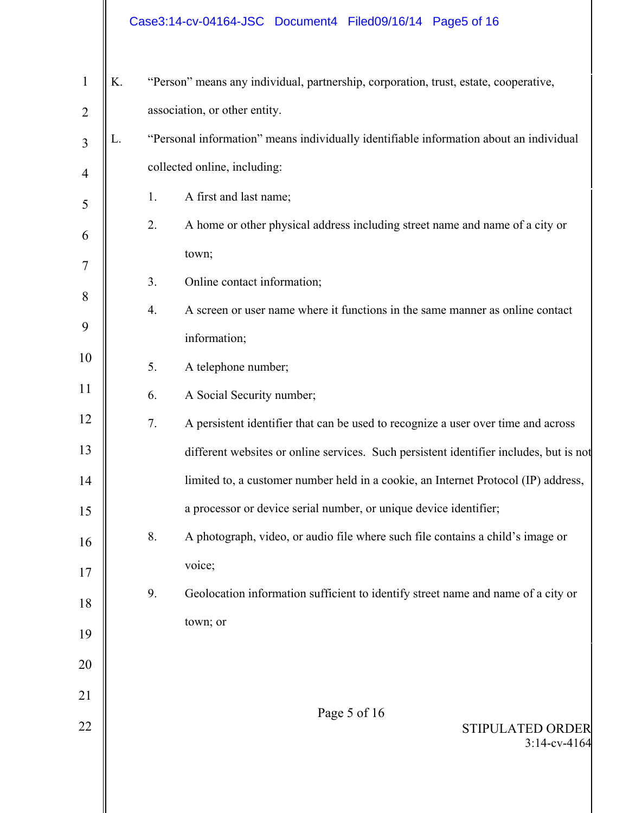# Case3:14-cv-04164-JSC Document4 Filed09/16/14 Page5 of 16

| 1              | K. |                               | "Person" means any individual, partnership, corporation, trust, estate, cooperative,   |  |  |
|----------------|----|-------------------------------|----------------------------------------------------------------------------------------|--|--|
| $\overline{2}$ |    | association, or other entity. |                                                                                        |  |  |
| 3              | L. |                               | "Personal information" means individually identifiable information about an individual |  |  |
| $\overline{4}$ |    | collected online, including:  |                                                                                        |  |  |
| 5              |    | 1.                            | A first and last name;                                                                 |  |  |
| 6              |    | 2.                            | A home or other physical address including street name and name of a city or           |  |  |
| 7              |    |                               | town;                                                                                  |  |  |
| 8              |    | 3.                            | Online contact information;                                                            |  |  |
|                |    | 4.                            | A screen or user name where it functions in the same manner as online contact          |  |  |
| 9              |    |                               | information;                                                                           |  |  |
| 10             |    | 5.                            | A telephone number;                                                                    |  |  |
| 11             |    | 6.                            | A Social Security number;                                                              |  |  |
| 12             |    | 7.                            | A persistent identifier that can be used to recognize a user over time and across      |  |  |
| 13             |    |                               | different websites or online services. Such persistent identifier includes, but is not |  |  |
| 14             |    |                               | limited to, a customer number held in a cookie, an Internet Protocol (IP) address,     |  |  |
| 15             |    |                               | a processor or device serial number, or unique device identifier;                      |  |  |
| 16             |    | 8.                            | A photograph, video, or audio file where such file contains a child's image or         |  |  |
| 17             |    |                               | voice;                                                                                 |  |  |
| 18             |    | 9.                            | Geolocation information sufficient to identify street name and name of a city or       |  |  |
| 19             |    |                               | town; or                                                                               |  |  |
| 20             |    |                               |                                                                                        |  |  |
| 21             |    |                               |                                                                                        |  |  |
| 22             |    |                               | Page 5 of 16                                                                           |  |  |
|                |    |                               | STIPULATED ORDER<br>$3:14$ -cv-4164                                                    |  |  |
|                |    |                               |                                                                                        |  |  |
|                |    |                               |                                                                                        |  |  |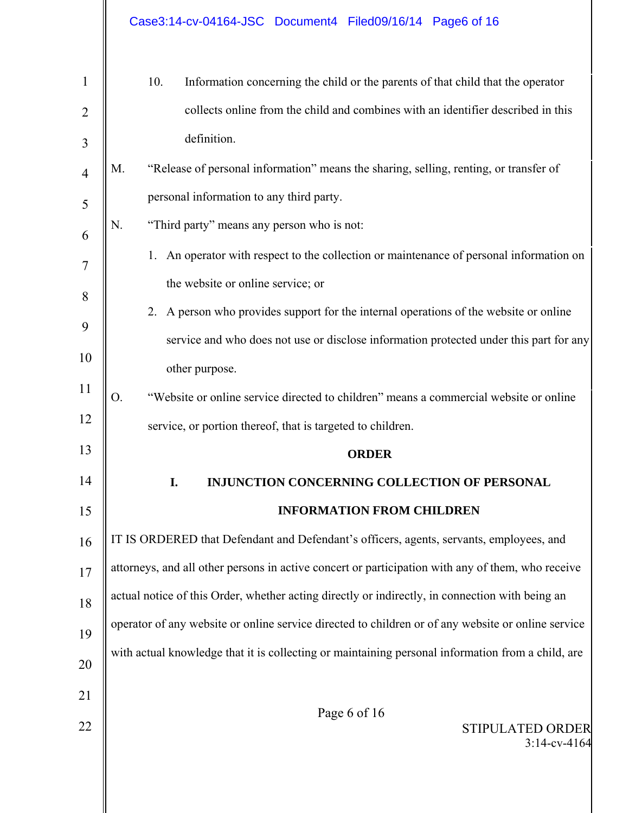|                     | Case3:14-cv-04164-JSC Document4 Filed09/16/14 Page6 of 16                                          |  |  |  |  |
|---------------------|----------------------------------------------------------------------------------------------------|--|--|--|--|
| $\mathbf{1}$        | 10.<br>Information concerning the child or the parents of that child that the operator             |  |  |  |  |
| $\overline{2}$<br>3 | collects online from the child and combines with an identifier described in this<br>definition.    |  |  |  |  |
| $\overline{4}$      | "Release of personal information" means the sharing, selling, renting, or transfer of<br>M.        |  |  |  |  |
| 5                   | personal information to any third party.                                                           |  |  |  |  |
| 6                   | "Third party" means any person who is not:<br>N.                                                   |  |  |  |  |
| $\overline{7}$      | An operator with respect to the collection or maintenance of personal information on<br>1.         |  |  |  |  |
| 8                   | the website or online service; or                                                                  |  |  |  |  |
| 9                   | 2. A person who provides support for the internal operations of the website or online              |  |  |  |  |
|                     | service and who does not use or disclose information protected under this part for any             |  |  |  |  |
| 10                  | other purpose.                                                                                     |  |  |  |  |
| 11                  | "Website or online service directed to children" means a commercial website or online<br>0.        |  |  |  |  |
| 12                  | service, or portion thereof, that is targeted to children.                                         |  |  |  |  |
| 13                  | <b>ORDER</b>                                                                                       |  |  |  |  |
| 14                  | I.<br>INJUNCTION CONCERNING COLLECTION OF PERSONAL                                                 |  |  |  |  |
| 15                  | <b>INFORMATION FROM CHILDREN</b>                                                                   |  |  |  |  |
| 16                  | IT IS ORDERED that Defendant and Defendant's officers, agents, servants, employees, and            |  |  |  |  |
| 17                  | attorneys, and all other persons in active concert or participation with any of them, who receive  |  |  |  |  |
| 18                  | actual notice of this Order, whether acting directly or indirectly, in connection with being an    |  |  |  |  |
| 19                  | operator of any website or online service directed to children or of any website or online service |  |  |  |  |
| 20                  | with actual knowledge that it is collecting or maintaining personal information from a child, are  |  |  |  |  |
| 21                  |                                                                                                    |  |  |  |  |
| 22                  | Page 6 of 16<br>STIPULATED ORDER<br>$3:14$ -cv-4164                                                |  |  |  |  |
|                     |                                                                                                    |  |  |  |  |

 $\parallel$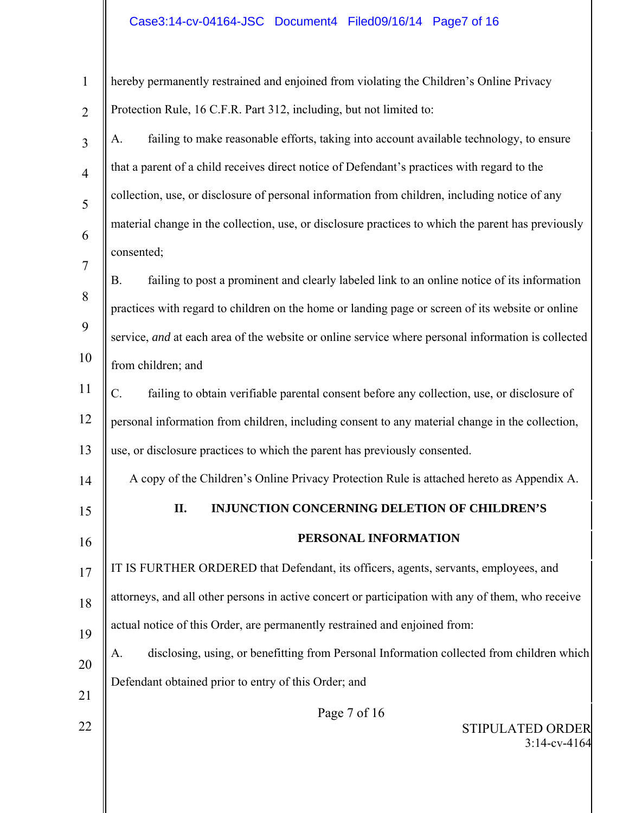# Case3:14-cv-04164-JSC Document4 Filed09/16/14 Page7 of 16

| $\mathbf{1}$   | hereby permanently restrained and enjoined from violating the Children's Online Privacy            |
|----------------|----------------------------------------------------------------------------------------------------|
| $\overline{2}$ | Protection Rule, 16 C.F.R. Part 312, including, but not limited to:                                |
| $\overline{3}$ | failing to make reasonable efforts, taking into account available technology, to ensure<br>A.      |
| $\overline{4}$ | that a parent of a child receives direct notice of Defendant's practices with regard to the        |
| 5              | collection, use, or disclosure of personal information from children, including notice of any      |
| 6              | material change in the collection, use, or disclosure practices to which the parent has previously |
| $\overline{7}$ | consented;                                                                                         |
| 8              | failing to post a prominent and clearly labeled link to an online notice of its information<br>В.  |
|                | practices with regard to children on the home or landing page or screen of its website or online   |
| 9              | service, and at each area of the website or online service where personal information is collected |
| 10             | from children; and                                                                                 |
| 11             | failing to obtain verifiable parental consent before any collection, use, or disclosure of<br>C.   |
| 12             | personal information from children, including consent to any material change in the collection,    |
| 13             | use, or disclosure practices to which the parent has previously consented.                         |
| 14             | A copy of the Children's Online Privacy Protection Rule is attached hereto as Appendix A.          |
| 15             | II.<br><b>INJUNCTION CONCERNING DELETION OF CHILDREN'S</b>                                         |
| 16             | PERSONAL INFORMATION                                                                               |
| 17             | IT IS FURTHER ORDERED that Defendant, its officers, agents, servants, employees, and               |
| 18             | attorneys, and all other persons in active concert or participation with any of them, who receive  |
| 19             | actual notice of this Order, are permanently restrained and enjoined from:                         |
| 20             | disclosing, using, or benefitting from Personal Information collected from children which<br>A.    |
| 21             | Defendant obtained prior to entry of this Order; and                                               |
|                | Page 7 of 16                                                                                       |
| 22             | <b>STIPULATED ORDER</b><br>$3:14$ -cv-4164                                                         |
|                |                                                                                                    |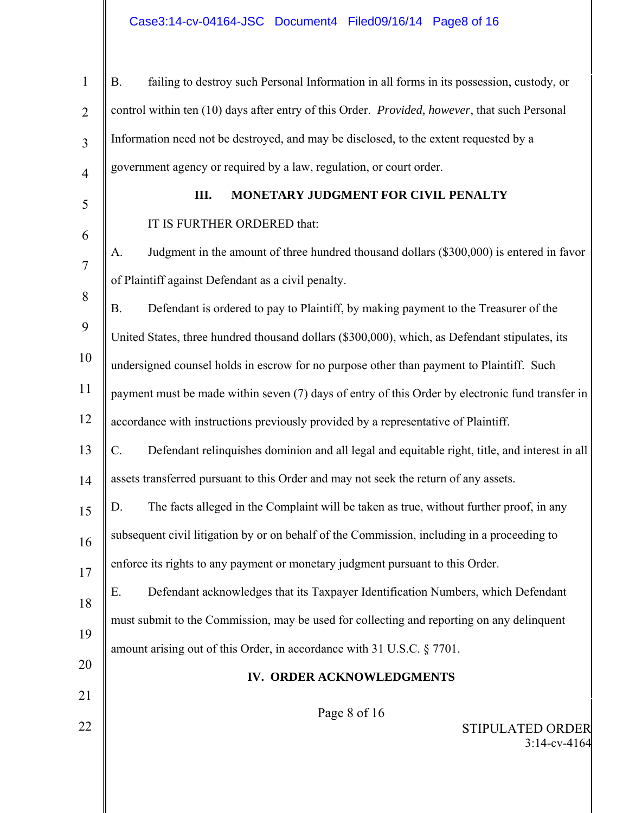# Case3:14-cv-04164-JSC Document4 Filed09/16/14 Page8 of 16

| 1              | failing to destroy such Personal Information in all forms in its possession, custody, or<br><b>B.</b> |
|----------------|-------------------------------------------------------------------------------------------------------|
| $\overline{2}$ | control within ten (10) days after entry of this Order. Provided, however, that such Personal         |
| $\overline{3}$ | Information need not be destroyed, and may be disclosed, to the extent requested by a                 |
| $\overline{4}$ | government agency or required by a law, regulation, or court order.                                   |
| 5              | MONETARY JUDGMENT FOR CIVIL PENALTY<br>Ш.                                                             |
| 6              | IT IS FURTHER ORDERED that:                                                                           |
| 7              | Judgment in the amount of three hundred thousand dollars (\$300,000) is entered in favor<br>A.        |
|                | of Plaintiff against Defendant as a civil penalty.                                                    |
| 8              | Defendant is ordered to pay to Plaintiff, by making payment to the Treasurer of the<br><b>B.</b>      |
| 9              | United States, three hundred thousand dollars (\$300,000), which, as Defendant stipulates, its        |
| 10             | undersigned counsel holds in escrow for no purpose other than payment to Plaintiff. Such              |
| 11             | payment must be made within seven (7) days of entry of this Order by electronic fund transfer in      |
| 12             | accordance with instructions previously provided by a representative of Plaintiff.                    |
| 13             | Defendant relinquishes dominion and all legal and equitable right, title, and interest in all<br>C.   |
| 14             | assets transferred pursuant to this Order and may not seek the return of any assets.                  |
| 15             | The facts alleged in the Complaint will be taken as true, without further proof, in any<br>D.         |
| 16             | subsequent civil litigation by or on behalf of the Commission, including in a proceeding to           |
| 17             | enforce its rights to any payment or monetary judgment pursuant to this Order.                        |
| 18             | Defendant acknowledges that its Taxpayer Identification Numbers, which Defendant<br>Ε.                |
| 19             | must submit to the Commission, may be used for collecting and reporting on any delinquent             |
|                | amount arising out of this Order, in accordance with 31 U.S.C. § 7701.                                |
| 20             | IV. ORDER ACKNOWLEDGMENTS                                                                             |
| 21             | Page 8 of 16                                                                                          |
| 22             | STIPULATED ORDER<br>$3:14$ -cv-4164                                                                   |
|                |                                                                                                       |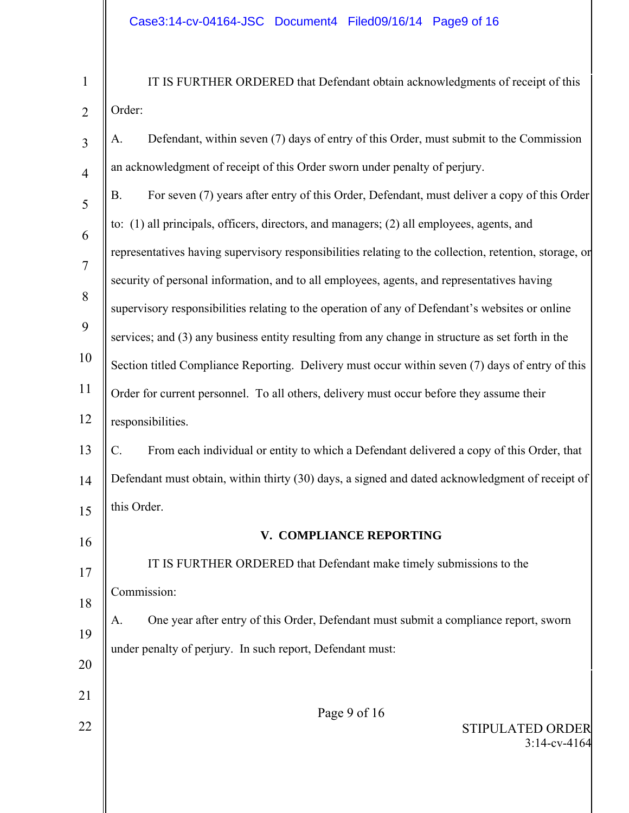| 1              | IT IS FURTHER ORDERED that Defendant obtain acknowledgments of receipt of this                           |  |  |  |
|----------------|----------------------------------------------------------------------------------------------------------|--|--|--|
| $\overline{2}$ | Order:                                                                                                   |  |  |  |
| $\overline{3}$ | Defendant, within seven (7) days of entry of this Order, must submit to the Commission<br>А.             |  |  |  |
| $\overline{4}$ | an acknowledgment of receipt of this Order sworn under penalty of perjury.                               |  |  |  |
| 5              | For seven (7) years after entry of this Order, Defendant, must deliver a copy of this Order<br><b>B.</b> |  |  |  |
| 6              | to: (1) all principals, officers, directors, and managers; (2) all employees, agents, and                |  |  |  |
| $\overline{7}$ | representatives having supervisory responsibilities relating to the collection, retention, storage, or   |  |  |  |
| 8              | security of personal information, and to all employees, agents, and representatives having               |  |  |  |
|                | supervisory responsibilities relating to the operation of any of Defendant's websites or online          |  |  |  |
| 9              | services; and (3) any business entity resulting from any change in structure as set forth in the         |  |  |  |
| 10             | Section titled Compliance Reporting. Delivery must occur within seven (7) days of entry of this          |  |  |  |
| 11             | Order for current personnel. To all others, delivery must occur before they assume their                 |  |  |  |
| 12             | responsibilities.                                                                                        |  |  |  |
| 13             | From each individual or entity to which a Defendant delivered a copy of this Order, that<br>C.           |  |  |  |
| 14             | Defendant must obtain, within thirty (30) days, a signed and dated acknowledgment of receipt of          |  |  |  |
| 15             | this Order.                                                                                              |  |  |  |
| 16             | V. COMPLIANCE REPORTING                                                                                  |  |  |  |
| 17             | IT IS FURTHER ORDERED that Defendant make timely submissions to the                                      |  |  |  |
| 18             | Commission:                                                                                              |  |  |  |
| 19             | One year after entry of this Order, Defendant must submit a compliance report, sworn<br>A.               |  |  |  |
|                | under penalty of perjury. In such report, Defendant must:                                                |  |  |  |
| 20             |                                                                                                          |  |  |  |
| 21             | Page 9 of 16                                                                                             |  |  |  |
| 22             | <b>STIPULATED ORDER</b><br>$3:14$ -cv-4164                                                               |  |  |  |
|                |                                                                                                          |  |  |  |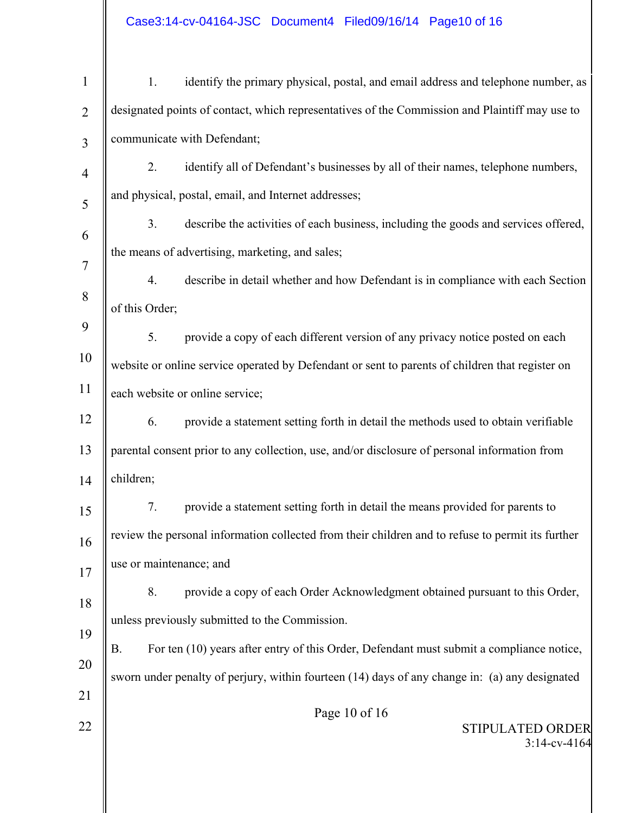|                | Case3:14-cv-04164-JSC Document4 Filed09/16/14 Page10 of 16                                            |  |  |
|----------------|-------------------------------------------------------------------------------------------------------|--|--|
| $\mathbf{1}$   | identify the primary physical, postal, and email address and telephone number, as<br>1.               |  |  |
| $\overline{2}$ | designated points of contact, which representatives of the Commission and Plaintiff may use to        |  |  |
| $\overline{3}$ | communicate with Defendant;                                                                           |  |  |
| $\overline{4}$ | identify all of Defendant's businesses by all of their names, telephone numbers,<br>2.                |  |  |
| 5              | and physical, postal, email, and Internet addresses;                                                  |  |  |
| 6              | describe the activities of each business, including the goods and services offered,<br>3.             |  |  |
| $\overline{7}$ | the means of advertising, marketing, and sales;                                                       |  |  |
|                | describe in detail whether and how Defendant is in compliance with each Section<br>4.                 |  |  |
| 8              | of this Order;                                                                                        |  |  |
| 9              | provide a copy of each different version of any privacy notice posted on each<br>5.                   |  |  |
| 10             | website or online service operated by Defendant or sent to parents of children that register on       |  |  |
| 11             | each website or online service;                                                                       |  |  |
| 12             | provide a statement setting forth in detail the methods used to obtain verifiable<br>6.               |  |  |
| 13             | parental consent prior to any collection, use, and/or disclosure of personal information from         |  |  |
| 14             | children;                                                                                             |  |  |
| 15             | provide a statement setting forth in detail the means provided for parents to<br>7.                   |  |  |
| 16             | review the personal information collected from their children and to refuse to permit its further     |  |  |
| 17             | use or maintenance; and                                                                               |  |  |
| 18             | provide a copy of each Order Acknowledgment obtained pursuant to this Order,<br>8.                    |  |  |
|                | unless previously submitted to the Commission.                                                        |  |  |
| 19             | <b>B.</b><br>For ten (10) years after entry of this Order, Defendant must submit a compliance notice, |  |  |
| 20             | sworn under penalty of perjury, within fourteen (14) days of any change in: (a) any designated        |  |  |
| 21             | Page 10 of 16                                                                                         |  |  |
| 22             | <b>STIPULATED ORDER</b><br>$3:14$ -cv-4164                                                            |  |  |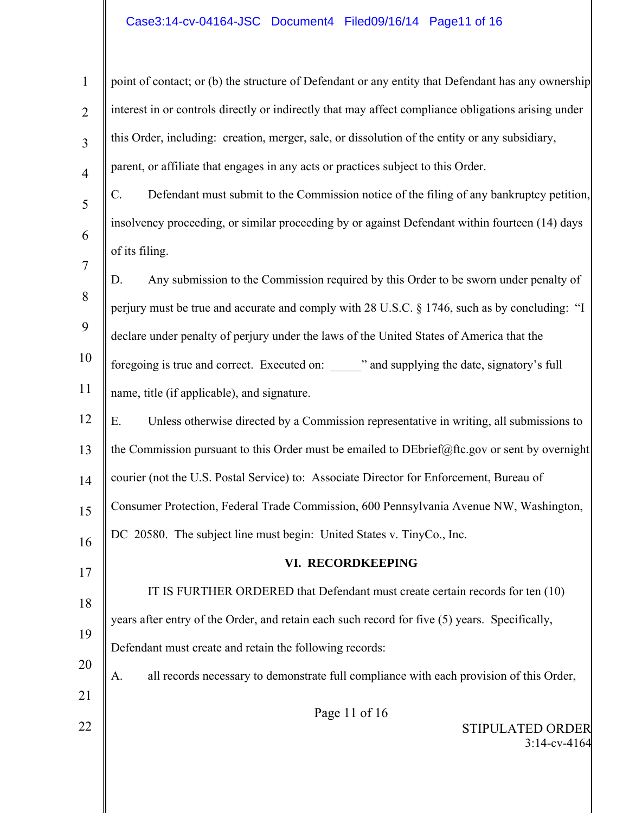# Case3:14-cv-04164-JSC Document4 Filed09/16/14 Page11 of 16

| 1              | point of contact; or (b) the structure of Defendant or any entity that Defendant has any ownership          |
|----------------|-------------------------------------------------------------------------------------------------------------|
| $\overline{2}$ | interest in or controls directly or indirectly that may affect compliance obligations arising under         |
| $\overline{3}$ | this Order, including: creation, merger, sale, or dissolution of the entity or any subsidiary,              |
| $\overline{4}$ | parent, or affiliate that engages in any acts or practices subject to this Order.                           |
| 5              | $\mathcal{C}$ .<br>Defendant must submit to the Commission notice of the filing of any bankruptcy petition, |
| 6              | insolvency proceeding, or similar proceeding by or against Defendant within fourteen (14) days              |
| $\overline{7}$ | of its filing.                                                                                              |
| 8              | Any submission to the Commission required by this Order to be sworn under penalty of<br>D.                  |
|                | perjury must be true and accurate and comply with 28 U.S.C. § 1746, such as by concluding: "I               |
| 9              | declare under penalty of perjury under the laws of the United States of America that the                    |
| 10             | foregoing is true and correct. Executed on: ______" and supplying the date, signatory's full                |
| 11             | name, title (if applicable), and signature.                                                                 |
| 12             | Unless otherwise directed by a Commission representative in writing, all submissions to<br>Ε.               |
| 13             | the Commission pursuant to this Order must be emailed to DEbrief@ftc.gov or sent by overnight               |
| 14             | courier (not the U.S. Postal Service) to: Associate Director for Enforcement, Bureau of                     |
| 15             | Consumer Protection, Federal Trade Commission, 600 Pennsylvania Avenue NW, Washington,                      |
| 16             | DC 20580. The subject line must begin: United States v. TinyCo., Inc.                                       |
| 17             | VI. RECORDKEEPING                                                                                           |
| 18             | IT IS FURTHER ORDERED that Defendant must create certain records for ten (10)                               |
| 19             | years after entry of the Order, and retain each such record for five (5) years. Specifically,               |
|                | Defendant must create and retain the following records:                                                     |
| 20             | all records necessary to demonstrate full compliance with each provision of this Order,<br>A.               |
| 21             | Page 11 of 16                                                                                               |
| 22             | STIPULATED ORDER<br>$3:14$ -cv-4164                                                                         |
|                |                                                                                                             |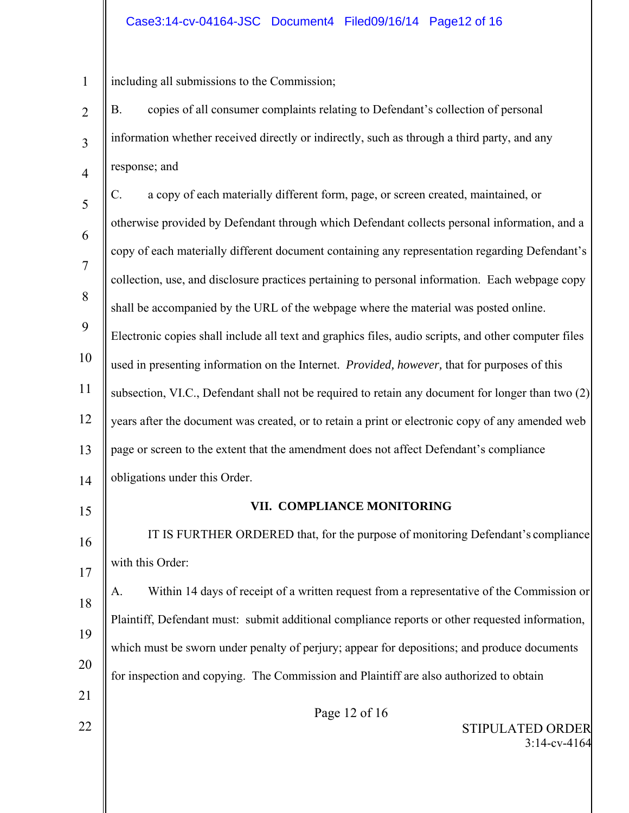# Case3:14-cv-04164-JSC Document4 Filed09/16/14 Page12 of 16

1 including all submissions to the Commission;

- 2 3 4 5 B. copies of all consumer complaints relating to Defendant's collection of personal information whether received directly or indirectly, such as through a third party, and any response; and C. a copy of each materially different form, page, or screen created, maintained, or
- 6 7 8 9 10 otherwise provided by Defendant through which Defendant collects personal information, and a copy of each materially different document containing any representation regarding Defendant's collection, use, and disclosure practices pertaining to personal information. Each webpage copy shall be accompanied by the URL of the webpage where the material was posted online. Electronic copies shall include all text and graphics files, audio scripts, and other computer files used in presenting information on the Internet. *Provided, however,* that for purposes of this
- 11 subsection, VI.C., Defendant shall not be required to retain any document for longer than two (2)
- 12 years after the document was created, or to retain a print or electronic copy of any amended web
- 13 page or screen to the extent that the amendment does not affect Defendant's compliance

14 obligations under this Order.

15

22

# **VII. COMPLIANCE MONITORING**

16 17 IT IS FURTHER ORDERED that, for the purpose of monitoring Defendant's compliance with this Order:

18 19 20 21 A. Within 14 days of receipt of a written request from a representative of the Commission or Plaintiff, Defendant must: submit additional compliance reports or other requested information, which must be sworn under penalty of perjury; appear for depositions; and produce documents for inspection and copying. The Commission and Plaintiff are also authorized to obtain

Page 12 of 16

STIPULATED ORDER 3:14-cv-4164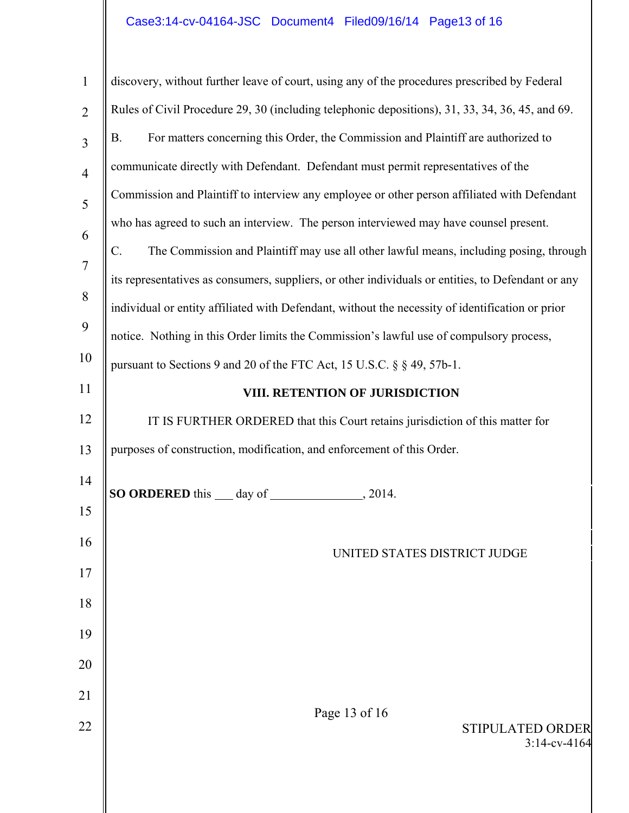# Case3:14-cv-04164-JSC Document4 Filed09/16/14 Page13 of 16

 $\mathbb{I}$ 

║

| $\mathbf{1}$   | discovery, without further leave of court, using any of the procedures prescribed by Federal       |  |  |  |  |  |  |
|----------------|----------------------------------------------------------------------------------------------------|--|--|--|--|--|--|
| $\overline{2}$ | Rules of Civil Procedure 29, 30 (including telephonic depositions), 31, 33, 34, 36, 45, and 69.    |  |  |  |  |  |  |
| $\overline{3}$ | For matters concerning this Order, the Commission and Plaintiff are authorized to<br><b>B.</b>     |  |  |  |  |  |  |
| $\overline{4}$ | communicate directly with Defendant. Defendant must permit representatives of the                  |  |  |  |  |  |  |
| 5              | Commission and Plaintiff to interview any employee or other person affiliated with Defendant       |  |  |  |  |  |  |
| 6              | who has agreed to such an interview. The person interviewed may have counsel present.              |  |  |  |  |  |  |
| $\overline{7}$ | $C$ .<br>The Commission and Plaintiff may use all other lawful means, including posing, through    |  |  |  |  |  |  |
| 8              | its representatives as consumers, suppliers, or other individuals or entities, to Defendant or any |  |  |  |  |  |  |
| 9              | individual or entity affiliated with Defendant, without the necessity of identification or prior   |  |  |  |  |  |  |
|                | notice. Nothing in this Order limits the Commission's lawful use of compulsory process,            |  |  |  |  |  |  |
| 10             | pursuant to Sections 9 and 20 of the FTC Act, 15 U.S.C. § § 49, 57b-1.                             |  |  |  |  |  |  |
| 11             | VIII. RETENTION OF JURISDICTION                                                                    |  |  |  |  |  |  |
| 12             | IT IS FURTHER ORDERED that this Court retains jurisdiction of this matter for                      |  |  |  |  |  |  |
| 13             | purposes of construction, modification, and enforcement of this Order.                             |  |  |  |  |  |  |
| 14             | <b>SO ORDERED</b> this <u>day</u> of ________<br>.2014.                                            |  |  |  |  |  |  |
| 15             |                                                                                                    |  |  |  |  |  |  |
| 16             | UNITED STATES DISTRICT JUDGE                                                                       |  |  |  |  |  |  |
| 17             |                                                                                                    |  |  |  |  |  |  |
| 18             |                                                                                                    |  |  |  |  |  |  |
| 19             |                                                                                                    |  |  |  |  |  |  |
| 20             |                                                                                                    |  |  |  |  |  |  |
| 21             |                                                                                                    |  |  |  |  |  |  |
| 22             | Page 13 of 16<br><b>STIPULATED ORDER</b>                                                           |  |  |  |  |  |  |
|                | $3:14$ -cv-4164                                                                                    |  |  |  |  |  |  |
|                |                                                                                                    |  |  |  |  |  |  |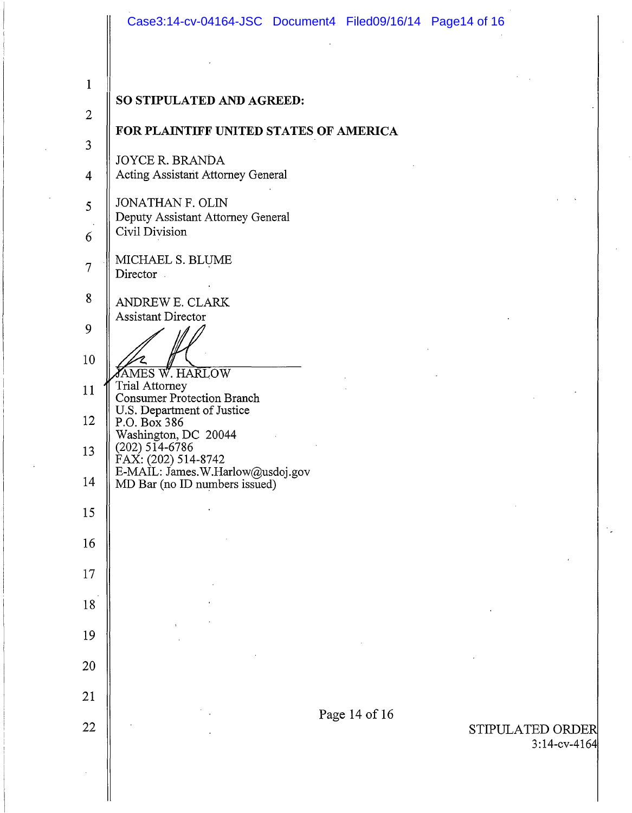|                | Case3:14-cv-04164-JSC Document4 Filed09/16/14 Page14 of 16                               |               |  |                                     |
|----------------|------------------------------------------------------------------------------------------|---------------|--|-------------------------------------|
| $\mathbf{1}$   |                                                                                          |               |  |                                     |
|                | SO STIPULATED AND AGREED:                                                                |               |  |                                     |
| $\overline{2}$ | FOR PLAINTIFF UNITED STATES OF AMERICA                                                   |               |  |                                     |
| 3              | <b>JOYCE R. BRANDA</b>                                                                   |               |  |                                     |
| $\overline{4}$ | Acting Assistant Attorney General                                                        |               |  |                                     |
| 5              | JONATHAN F. OLIN<br>Deputy Assistant Attorney General                                    |               |  |                                     |
| 6              | Civil Division                                                                           |               |  |                                     |
| 7              | MICHAEL S. BLUME<br>Director                                                             |               |  |                                     |
| 8              | ANDREW E. CLARK                                                                          |               |  |                                     |
| 9              | <b>Assistant Director</b>                                                                |               |  |                                     |
| 10             | <b>FAMES W. HARLOW</b>                                                                   |               |  |                                     |
| 11             | Trial Attorney<br><b>Consumer Protection Branch</b>                                      |               |  |                                     |
| 12             | U.S. Department of Justice<br>P.O. Box 386                                               |               |  |                                     |
| 13             | Washington, DC 20044<br>$(202)$ 514-6786                                                 |               |  |                                     |
| 14             | FAX: (202) 514-8742<br>E-MAIL: James.W.Harlow@usdoj.gov<br>MD Bar (no ID numbers issued) |               |  |                                     |
| 15             |                                                                                          |               |  |                                     |
| 16             |                                                                                          |               |  |                                     |
| 17             |                                                                                          |               |  |                                     |
| 18             |                                                                                          |               |  |                                     |
| 19             |                                                                                          |               |  |                                     |
| 20             |                                                                                          |               |  |                                     |
|                |                                                                                          |               |  |                                     |
| 21             |                                                                                          | Page 14 of 16 |  |                                     |
| 22             |                                                                                          |               |  | STIPULATED ORDER<br>$3:14$ -cv-4164 |
|                |                                                                                          |               |  |                                     |

 $\mathbb{R}^2$ 

 $\mathcal{L}$ 

 $\big\|$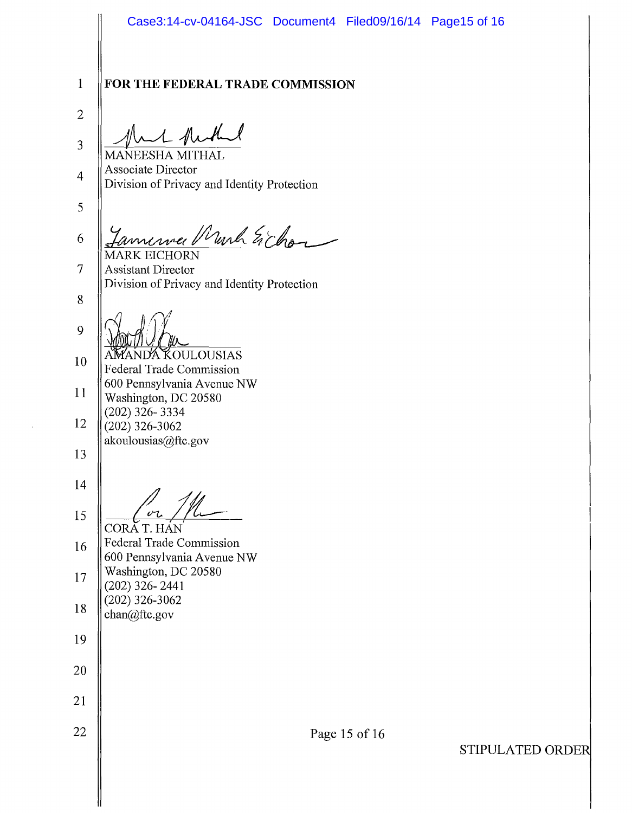2

3

4

5

8

Munt huthand MANEESHA MITRAL Associate Director Division of Privacy and Identity Protection

annewer Murch Eichon 6 MARK EICHORN

7 Assistant Director Division of Privacy and Identity Protection

9 NDA KOULOUSIAS

10 11 12 Federal Trade Commission 600 Pennsylvania Avenue NW Washington, DC 20580 (202) 326- 3334  $(202)$  326-3062 akoulousias@ftc.gov

13

14

15

CORĂ T. HÁN

16 17 18 Federal Trade Commission 600 Pennsylvania Avenue NW Washington, DC 20580 (202) 326- 2441  $(202)$  326-3062 chan@ftc.gov

19

20

21

22

Page 15 of 16

STIPULATED ORDE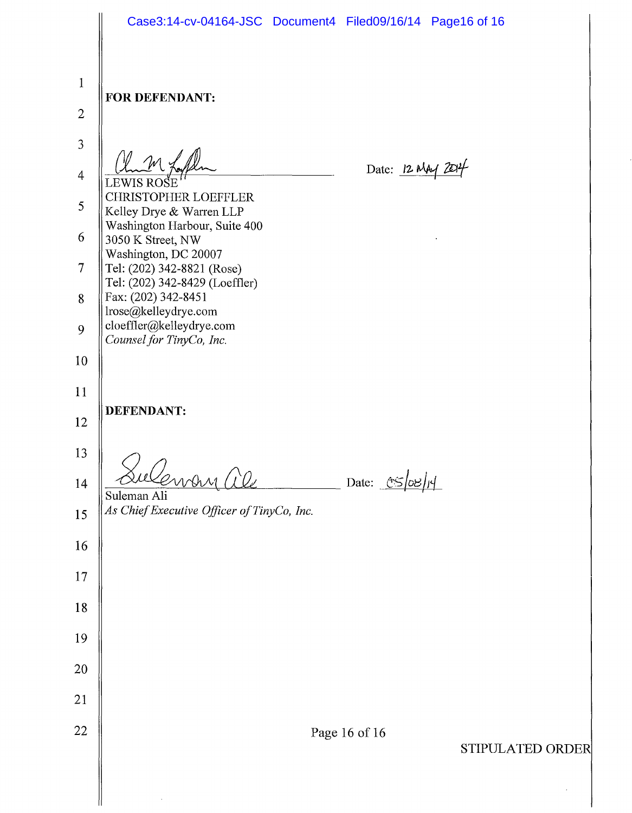|                | Case3:14-cv-04164-JSC Document4 Filed09/16/14 Page16 of 16                               |  |  |  |
|----------------|------------------------------------------------------------------------------------------|--|--|--|
| $\mathbf{1}$   | FOR DEFENDANT:                                                                           |  |  |  |
| $\overline{2}$ |                                                                                          |  |  |  |
| 3              |                                                                                          |  |  |  |
| $\overline{4}$ | Date: 12 MAy 20<br>LEWIS ROSE                                                            |  |  |  |
| 5              | <b>CHRISTOPHER LOEFFLER</b><br>Kelley Drye & Warren LLP<br>Washington Harbour, Suite 400 |  |  |  |
| 6              | 3050 K Street, NW<br>Washington, DC 20007                                                |  |  |  |
| $\overline{7}$ | Tel: (202) 342-8821 (Rose)<br>Tel: (202) 342-8429 (Loeffler)                             |  |  |  |
| 8              | Fax: (202) 342-8451<br>lrose@kelleydrye.com                                              |  |  |  |
| 9              | cloeffler@kelleydrye.com<br>Counsel for TinyCo, Inc.                                     |  |  |  |
| 10             |                                                                                          |  |  |  |
| 11             |                                                                                          |  |  |  |
| 12             | <b>DEFENDANT:</b>                                                                        |  |  |  |
| 13             |                                                                                          |  |  |  |
| 14             | ensen 1<br>Date: CS<br>Suleman Ali                                                       |  |  |  |
| 15             | As Chief Executive Officer of TinyCo, Inc.                                               |  |  |  |
| 16             |                                                                                          |  |  |  |
| 17             |                                                                                          |  |  |  |
| 18             |                                                                                          |  |  |  |
| 19             |                                                                                          |  |  |  |
| 20             |                                                                                          |  |  |  |
| 21             |                                                                                          |  |  |  |
| 22             |                                                                                          |  |  |  |
|                | Page 16 of 16<br>STIPULATED ORDEI                                                        |  |  |  |
|                |                                                                                          |  |  |  |

 $\parallel$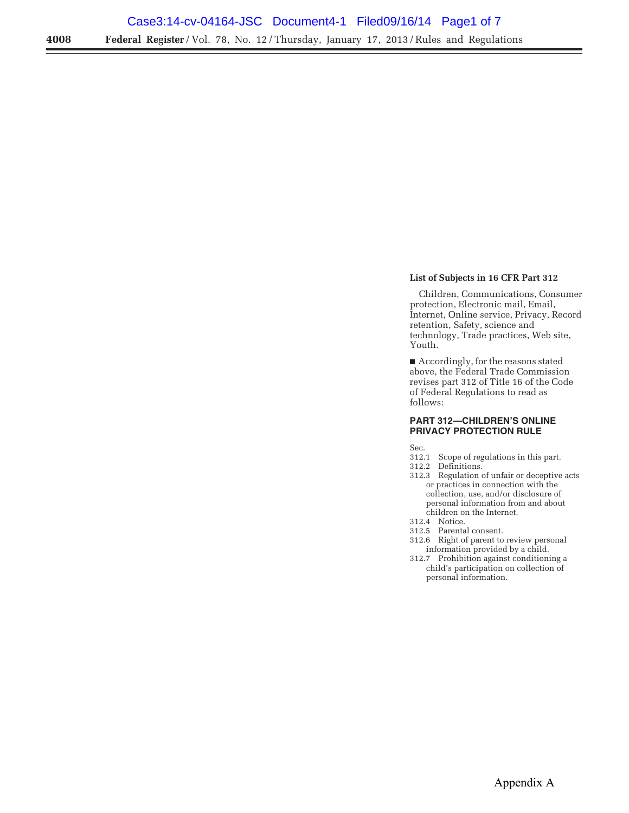## **List of Subjects in 16 CFR Part 312**

Children, Communications, Consumer protection, Electronic mail, Email, Internet, Online service, Privacy, Record retention, Safety, science and technology, Trade practices, Web site, Youth.

■ Accordingly, for the reasons stated above, the Federal Trade Commission revises part 312 of Title 16 of the Code of Federal Regulations to read as follows:

#### **PART 312—CHILDREN'S ONLINE PRIVACY PROTECTION RULE**

Sec.

- 312.1 Scope of regulations in this part.
- 312.2 Definitions.
- 312.3 Regulation of unfair or deceptive acts or practices in connection with the collection, use, and/or disclosure of personal information from and about children on the Internet.
- 312.4 Notice.
- 312.5 Parental consent.
- 312.6 Right of parent to review personal information provided by a child.
- 312.7 Prohibition against conditioning a child's participation on collection of personal information.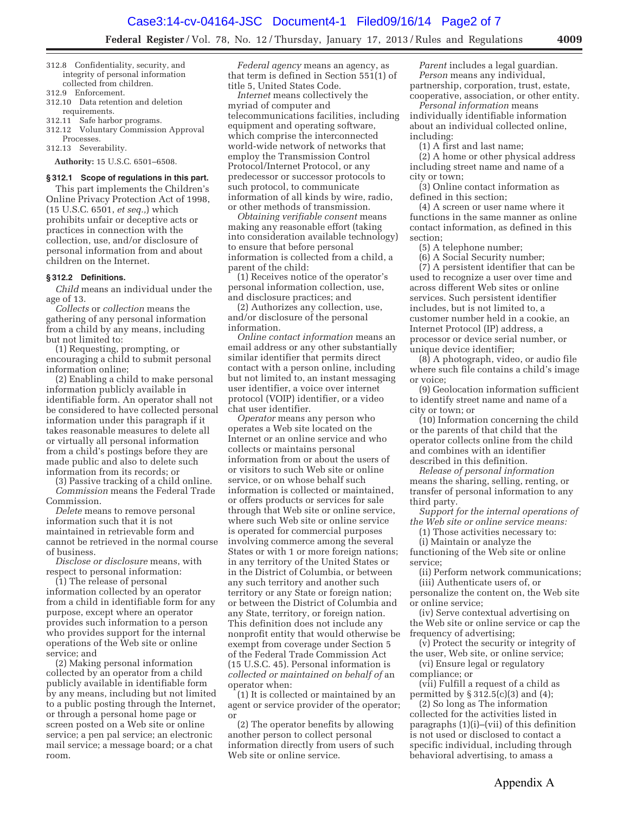**Federal Register** / Vol. 78, No. 12 / Thursday, January 17, 2013 / Rules and Regulations **4009** 

- 312.8 Confidentiality, security, and integrity of personal information collected from children.
- 312.9 Enforcement.
- 312.10 Data retention and deletion requirements.
- 312.11 Safe harbor programs.
- 312.12 Voluntary Commission Approval

Processes. 312.13 Severability.

**Authority:** 15 U.S.C. 6501–6508.

#### **§ 312.1 Scope of regulations in this part.**

This part implements the Children's Online Privacy Protection Act of 1998, (15 U.S.C. 6501, *et seq.,*) which prohibits unfair or deceptive acts or practices in connection with the collection, use, and/or disclosure of personal information from and about children on the Internet.

### **§ 312.2 Definitions.**

*Child* means an individual under the age of 13.

*Collects* or *collection* means the gathering of any personal information from a child by any means, including but not limited to:

(1) Requesting, prompting, or encouraging a child to submit personal information online;

(2) Enabling a child to make personal information publicly available in identifiable form. An operator shall not be considered to have collected personal information under this paragraph if it takes reasonable measures to delete all or virtually all personal information from a child's postings before they are made public and also to delete such information from its records; or

(3) Passive tracking of a child online.

*Commission* means the Federal Trade Commission.

*Delete* means to remove personal information such that it is not maintained in retrievable form and cannot be retrieved in the normal course of business.

*Disclose or disclosure* means, with respect to personal information:

(1) The release of personal information collected by an operator from a child in identifiable form for any purpose, except where an operator provides such information to a person who provides support for the internal operations of the Web site or online service; and

(2) Making personal information collected by an operator from a child publicly available in identifiable form by any means, including but not limited to a public posting through the Internet, or through a personal home page or screen posted on a Web site or online service; a pen pal service; an electronic mail service; a message board; or a chat room.

*Federal agency* means an agency, as that term is defined in Section 551(1) of title 5, United States Code.

*Internet* means collectively the myriad of computer and telecommunications facilities, including equipment and operating software, which comprise the interconnected world-wide network of networks that employ the Transmission Control Protocol/Internet Protocol, or any predecessor or successor protocols to such protocol, to communicate information of all kinds by wire, radio, or other methods of transmission.

*Obtaining verifiable consent* means making any reasonable effort (taking into consideration available technology) to ensure that before personal information is collected from a child, a parent of the child:

(1) Receives notice of the operator's personal information collection, use, and disclosure practices; and

(2) Authorizes any collection, use, and/or disclosure of the personal information.

*Online contact information* means an email address or any other substantially similar identifier that permits direct contact with a person online, including but not limited to, an instant messaging user identifier, a voice over internet protocol (VOIP) identifier, or a video chat user identifier.

*Operator* means any person who operates a Web site located on the Internet or an online service and who collects or maintains personal information from or about the users of or visitors to such Web site or online service, or on whose behalf such information is collected or maintained, or offers products or services for sale through that Web site or online service, where such Web site or online service is operated for commercial purposes involving commerce among the several States or with 1 or more foreign nations; in any territory of the United States or in the District of Columbia, or between any such territory and another such territory or any State or foreign nation; or between the District of Columbia and any State, territory, or foreign nation. This definition does not include any nonprofit entity that would otherwise be exempt from coverage under Section 5 of the Federal Trade Commission Act (15 U.S.C. 45). Personal information is *collected or maintained on behalf of* an operator when:

(1) It is collected or maintained by an agent or service provider of the operator; or

(2) The operator benefits by allowing another person to collect personal information directly from users of such Web site or online service.

*Parent* includes a legal guardian. *Person* means any individual, partnership, corporation, trust, estate, cooperative, association, or other entity.

*Personal information* means individually identifiable information about an individual collected online, including:

(1) A first and last name;

(2) A home or other physical address including street name and name of a city or town;

(3) Online contact information as defined in this section;

(4) A screen or user name where it functions in the same manner as online contact information, as defined in this section;

(5) A telephone number;

(6) A Social Security number; (7) A persistent identifier that can be used to recognize a user over time and across different Web sites or online services. Such persistent identifier includes, but is not limited to, a customer number held in a cookie, an Internet Protocol (IP) address, a processor or device serial number, or unique device identifier;

(8) A photograph, video, or audio file where such file contains a child's image or voice;

(9) Geolocation information sufficient to identify street name and name of a city or town; or

(10) Information concerning the child or the parents of that child that the operator collects online from the child and combines with an identifier described in this definition.

*Release of personal information*  means the sharing, selling, renting, or transfer of personal information to any third party.

*Support for the internal operations of the Web site or online service means:* 

(1) Those activities necessary to:

(i) Maintain or analyze the functioning of the Web site or online service;

(ii) Perform network communications; (iii) Authenticate users of, or personalize the content on, the Web site or online service;

(iv) Serve contextual advertising on the Web site or online service or cap the frequency of advertising;

(v) Protect the security or integrity of the user, Web site, or online service;

(vi) Ensure legal or regulatory compliance; or

(vii) Fulfill a request of a child as permitted by § 312.5(c)(3) and (4);

(2) So long as The information collected for the activities listed in paragraphs (1)(i)–(vii) of this definition is not used or disclosed to contact a specific individual, including through behavioral advertising, to amass a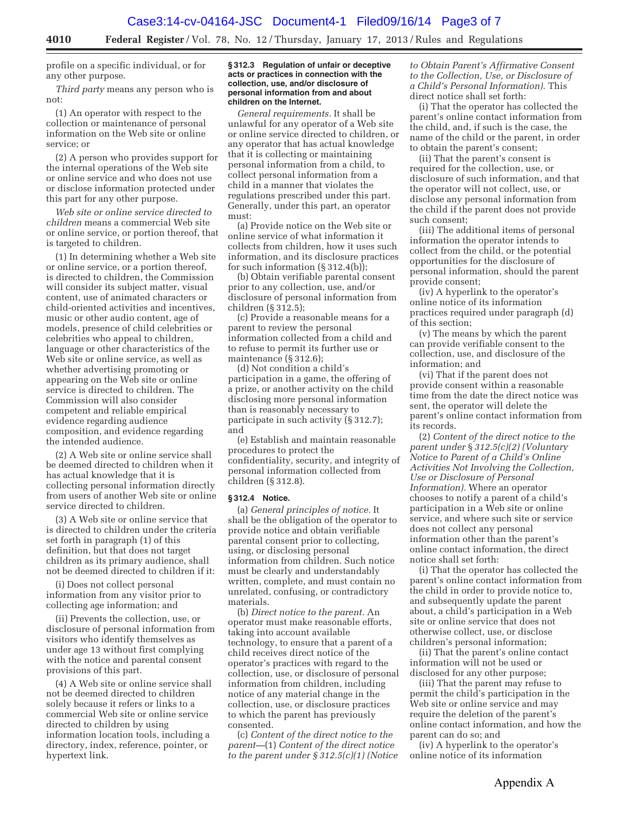profile on a specific individual, or for any other purpose.

*Third party* means any person who is not:

(1) An operator with respect to the collection or maintenance of personal information on the Web site or online service; or

(2) A person who provides support for the internal operations of the Web site or online service and who does not use or disclose information protected under this part for any other purpose.

*Web site or online service directed to children* means a commercial Web site or online service, or portion thereof, that is targeted to children.

(1) In determining whether a Web site or online service, or a portion thereof, is directed to children, the Commission will consider its subject matter, visual content, use of animated characters or child-oriented activities and incentives, music or other audio content, age of models, presence of child celebrities or celebrities who appeal to children, language or other characteristics of the Web site or online service, as well as whether advertising promoting or appearing on the Web site or online service is directed to children. The Commission will also consider competent and reliable empirical evidence regarding audience composition, and evidence regarding the intended audience.

(2) A Web site or online service shall be deemed directed to children when it has actual knowledge that it is collecting personal information directly from users of another Web site or online service directed to children.

(3) A Web site or online service that is directed to children under the criteria set forth in paragraph (1) of this definition, but that does not target children as its primary audience, shall not be deemed directed to children if it:

(i) Does not collect personal information from any visitor prior to collecting age information; and

(ii) Prevents the collection, use, or disclosure of personal information from visitors who identify themselves as under age 13 without first complying with the notice and parental consent provisions of this part.

(4) A Web site or online service shall not be deemed directed to children solely because it refers or links to a commercial Web site or online service directed to children by using information location tools, including a directory, index, reference, pointer, or hypertext link.

#### **§ 312.3 Regulation of unfair or deceptive acts or practices in connection with the collection, use, and/or disclosure of personal information from and about children on the Internet.**

*General requirements.* It shall be unlawful for any operator of a Web site or online service directed to children, or any operator that has actual knowledge that it is collecting or maintaining personal information from a child, to collect personal information from a child in a manner that violates the regulations prescribed under this part. Generally, under this part, an operator must:

(a) Provide notice on the Web site or online service of what information it collects from children, how it uses such information, and its disclosure practices for such information (§ 312.4(b));

(b) Obtain verifiable parental consent prior to any collection, use, and/or disclosure of personal information from children (§ 312.5);

(c) Provide a reasonable means for a parent to review the personal information collected from a child and to refuse to permit its further use or maintenance (§ 312.6);

(d) Not condition a child's participation in a game, the offering of a prize, or another activity on the child disclosing more personal information than is reasonably necessary to participate in such activity (§ 312.7); and

(e) Establish and maintain reasonable procedures to protect the confidentiality, security, and integrity of personal information collected from children (§ 312.8).

#### **§ 312.4 Notice.**

(a) *General principles of notice.* It shall be the obligation of the operator to provide notice and obtain verifiable parental consent prior to collecting, using, or disclosing personal information from children. Such notice must be clearly and understandably written, complete, and must contain no unrelated, confusing, or contradictory materials.

(b) *Direct notice to the parent.* An operator must make reasonable efforts, taking into account available technology, to ensure that a parent of a child receives direct notice of the operator's practices with regard to the collection, use, or disclosure of personal information from children, including notice of any material change in the collection, use, or disclosure practices to which the parent has previously consented.

(c) *Content of the direct notice to the parent—*(1) *Content of the direct notice to the parent under § 312.5(c)(1) (Notice*  *to Obtain Parent's Affirmative Consent to the Collection, Use, or Disclosure of a Child's Personal Information)*. This direct notice shall set forth:

(i) That the operator has collected the parent's online contact information from the child, and, if such is the case, the name of the child or the parent, in order to obtain the parent's consent;

(ii) That the parent's consent is required for the collection, use, or disclosure of such information, and that the operator will not collect, use, or disclose any personal information from the child if the parent does not provide such consent;

(iii) The additional items of personal information the operator intends to collect from the child, or the potential opportunities for the disclosure of personal information, should the parent provide consent;

(iv) A hyperlink to the operator's online notice of its information practices required under paragraph (d) of this section;

(v) The means by which the parent can provide verifiable consent to the collection, use, and disclosure of the information; and

(vi) That if the parent does not provide consent within a reasonable time from the date the direct notice was sent, the operator will delete the parent's online contact information from its records.

(2) *Content of the direct notice to the parent under* § *312.5(c)(2) (Voluntary Notice to Parent of a Child's Online Activities Not Involving the Collection, Use or Disclosure of Personal Information).* Where an operator chooses to notify a parent of a child's participation in a Web site or online service, and where such site or service does not collect any personal information other than the parent's online contact information, the direct notice shall set forth:

(i) That the operator has collected the parent's online contact information from the child in order to provide notice to, and subsequently update the parent about, a child's participation in a Web site or online service that does not otherwise collect, use, or disclose children's personal information;

(ii) That the parent's online contact information will not be used or disclosed for any other purpose;

(iii) That the parent may refuse to permit the child's participation in the Web site or online service and may require the deletion of the parent's online contact information, and how the parent can do so; and

(iv) A hyperlink to the operator's online notice of its information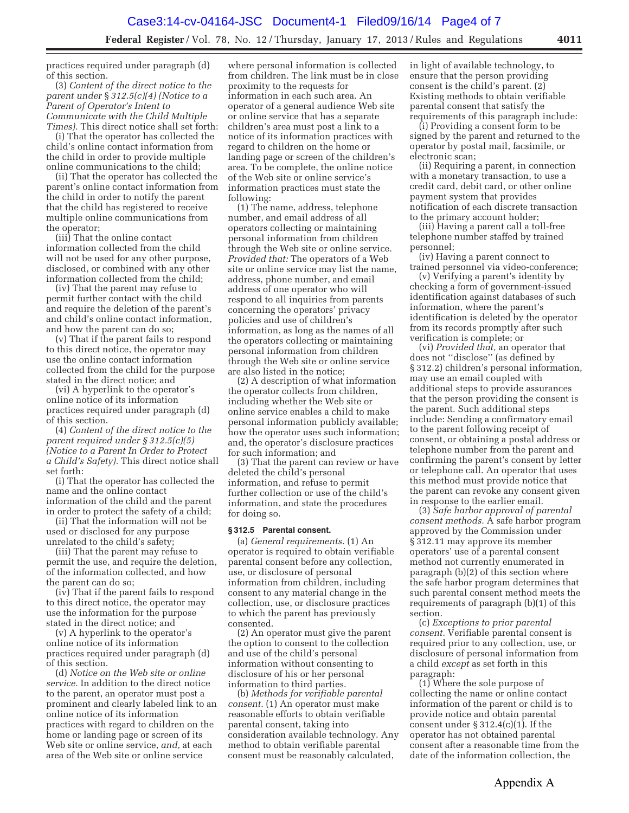practices required under paragraph (d) of this section.

(3) *Content of the direct notice to the parent under* § *312.5(c)(4) (Notice to a Parent of Operator's Intent to Communicate with the Child Multiple Times).* This direct notice shall set forth:

(i) That the operator has collected the child's online contact information from the child in order to provide multiple online communications to the child;

(ii) That the operator has collected the parent's online contact information from the child in order to notify the parent that the child has registered to receive multiple online communications from the operator;

(iii) That the online contact information collected from the child will not be used for any other purpose, disclosed, or combined with any other information collected from the child;

(iv) That the parent may refuse to permit further contact with the child and require the deletion of the parent's and child's online contact information, and how the parent can do so;

(v) That if the parent fails to respond to this direct notice, the operator may use the online contact information collected from the child for the purpose stated in the direct notice; and

(vi) A hyperlink to the operator's online notice of its information practices required under paragraph (d) of this section.

(4) *Content of the direct notice to the parent required under § 312.5(c)(5) (Notice to a Parent In Order to Protect a Child's Safety).* This direct notice shall set forth:

(i) That the operator has collected the name and the online contact information of the child and the parent in order to protect the safety of a child;

(ii) That the information will not be used or disclosed for any purpose unrelated to the child's safety;

(iii) That the parent may refuse to permit the use, and require the deletion, of the information collected, and how the parent can do so;

(iv) That if the parent fails to respond to this direct notice, the operator may use the information for the purpose stated in the direct notice; and

(v) A hyperlink to the operator's online notice of its information practices required under paragraph (d) of this section.

(d) *Notice on the Web site or online service.* In addition to the direct notice to the parent, an operator must post a prominent and clearly labeled link to an online notice of its information practices with regard to children on the home or landing page or screen of its Web site or online service, *and,* at each area of the Web site or online service

where personal information is collected from children. The link must be in close proximity to the requests for information in each such area. An operator of a general audience Web site or online service that has a separate children's area must post a link to a notice of its information practices with regard to children on the home or landing page or screen of the children's area. To be complete, the online notice of the Web site or online service's information practices must state the following:

(1) The name, address, telephone number, and email address of all operators collecting or maintaining personal information from children through the Web site or online service. *Provided that:* The operators of a Web site or online service may list the name, address, phone number, and email address of one operator who will respond to all inquiries from parents concerning the operators' privacy policies and use of children's information, as long as the names of all the operators collecting or maintaining personal information from children through the Web site or online service are also listed in the notice;

(2) A description of what information the operator collects from children, including whether the Web site or online service enables a child to make personal information publicly available; how the operator uses such information; and, the operator's disclosure practices for such information; and

(3) That the parent can review or have deleted the child's personal information, and refuse to permit further collection or use of the child's information, and state the procedures for doing so.

#### **§ 312.5 Parental consent.**

(a) *General requirements.* (1) An operator is required to obtain verifiable parental consent before any collection, use, or disclosure of personal information from children, including consent to any material change in the collection, use, or disclosure practices to which the parent has previously consented.

(2) An operator must give the parent the option to consent to the collection and use of the child's personal information without consenting to disclosure of his or her personal information to third parties.

(b) *Methods for verifiable parental consent.* (1) An operator must make reasonable efforts to obtain verifiable parental consent, taking into consideration available technology. Any method to obtain verifiable parental consent must be reasonably calculated,

in light of available technology, to ensure that the person providing consent is the child's parent. (2) Existing methods to obtain verifiable parental consent that satisfy the requirements of this paragraph include:

(i) Providing a consent form to be signed by the parent and returned to the operator by postal mail, facsimile, or electronic scan;

(ii) Requiring a parent, in connection with a monetary transaction, to use a credit card, debit card, or other online payment system that provides notification of each discrete transaction to the primary account holder;

(iii) Having a parent call a toll-free telephone number staffed by trained personnel;

(iv) Having a parent connect to trained personnel via video-conference;

(v) Verifying a parent's identity by checking a form of government-issued identification against databases of such information, where the parent's identification is deleted by the operator from its records promptly after such verification is complete; or

(vi) *Provided that,* an operator that does not ''disclose'' (as defined by § 312.2) children's personal information, may use an email coupled with additional steps to provide assurances that the person providing the consent is the parent. Such additional steps include: Sending a confirmatory email to the parent following receipt of consent, or obtaining a postal address or telephone number from the parent and confirming the parent's consent by letter or telephone call. An operator that uses this method must provide notice that the parent can revoke any consent given in response to the earlier email.

(3) *Safe harbor approval of parental consent methods.* A safe harbor program approved by the Commission under § 312.11 may approve its member operators' use of a parental consent method not currently enumerated in paragraph (b)(2) of this section where the safe harbor program determines that such parental consent method meets the requirements of paragraph (b)(1) of this section.

(c) *Exceptions to prior parental consent.* Verifiable parental consent is required prior to any collection, use, or disclosure of personal information from a child *except* as set forth in this paragraph:

(1) Where the sole purpose of collecting the name or online contact information of the parent or child is to provide notice and obtain parental consent under  $\S 312.4(c)(1)$ . If the operator has not obtained parental consent after a reasonable time from the date of the information collection, the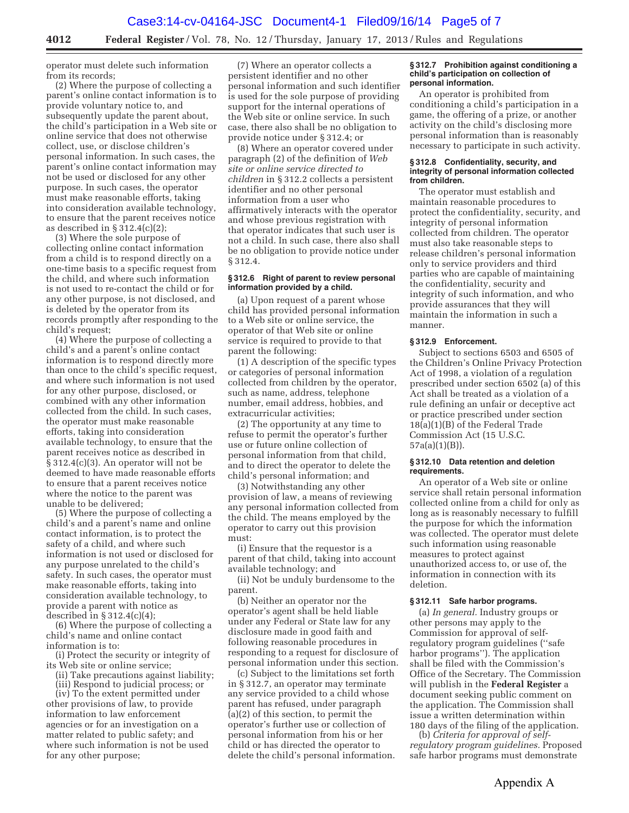**4012 Federal Register** / Vol. 78, No. 12 / Thursday, January 17, 2013 / Rules and Regulations

operator must delete such information from its records;

(2) Where the purpose of collecting a parent's online contact information is to provide voluntary notice to, and subsequently update the parent about, the child's participation in a Web site or online service that does not otherwise collect, use, or disclose children's personal information. In such cases, the parent's online contact information may not be used or disclosed for any other purpose. In such cases, the operator must make reasonable efforts, taking into consideration available technology, to ensure that the parent receives notice as described in  $\S 312.4(c)(2);$ 

(3) Where the sole purpose of collecting online contact information from a child is to respond directly on a one-time basis to a specific request from the child, and where such information is not used to re-contact the child or for any other purpose, is not disclosed, and is deleted by the operator from its records promptly after responding to the child's request;

(4) Where the purpose of collecting a child's and a parent's online contact information is to respond directly more than once to the child's specific request, and where such information is not used for any other purpose, disclosed, or combined with any other information collected from the child. In such cases, the operator must make reasonable efforts, taking into consideration available technology, to ensure that the parent receives notice as described in § 312.4(c)(3). An operator will not be deemed to have made reasonable efforts to ensure that a parent receives notice where the notice to the parent was unable to be delivered;

(5) Where the purpose of collecting a child's and a parent's name and online contact information, is to protect the safety of a child, and where such information is not used or disclosed for any purpose unrelated to the child's safety. In such cases, the operator must make reasonable efforts, taking into consideration available technology, to provide a parent with notice as described in  $\S 312.4(c)(4);$ 

(6) Where the purpose of collecting a child's name and online contact information is to:

(i) Protect the security or integrity of its Web site or online service;

(ii) Take precautions against liability;

(iii) Respond to judicial process; or

(iv) To the extent permitted under other provisions of law, to provide information to law enforcement agencies or for an investigation on a matter related to public safety; and where such information is not be used for any other purpose;

(7) Where an operator collects a persistent identifier and no other personal information and such identifier is used for the sole purpose of providing support for the internal operations of the Web site or online service. In such case, there also shall be no obligation to provide notice under § 312.4; or

(8) Where an operator covered under paragraph (2) of the definition of *Web site or online service directed to children* in § 312.2 collects a persistent identifier and no other personal information from a user who affirmatively interacts with the operator and whose previous registration with that operator indicates that such user is not a child. In such case, there also shall be no obligation to provide notice under § 312.4.

#### **§ 312.6 Right of parent to review personal information provided by a child.**

(a) Upon request of a parent whose child has provided personal information to a Web site or online service, the operator of that Web site or online service is required to provide to that parent the following:

(1) A description of the specific types or categories of personal information collected from children by the operator, such as name, address, telephone number, email address, hobbies, and extracurricular activities;

(2) The opportunity at any time to refuse to permit the operator's further use or future online collection of personal information from that child, and to direct the operator to delete the child's personal information; and

(3) Notwithstanding any other provision of law, a means of reviewing any personal information collected from the child. The means employed by the operator to carry out this provision must:

(i) Ensure that the requestor is a parent of that child, taking into account available technology; and

(ii) Not be unduly burdensome to the parent.

(b) Neither an operator nor the operator's agent shall be held liable under any Federal or State law for any disclosure made in good faith and following reasonable procedures in responding to a request for disclosure of personal information under this section.

(c) Subject to the limitations set forth in § 312.7, an operator may terminate any service provided to a child whose parent has refused, under paragraph (a)(2) of this section, to permit the operator's further use or collection of personal information from his or her child or has directed the operator to delete the child's personal information.

#### **§ 312.7 Prohibition against conditioning a child's participation on collection of personal information.**

An operator is prohibited from conditioning a child's participation in a game, the offering of a prize, or another activity on the child's disclosing more personal information than is reasonably necessary to participate in such activity.

#### **§ 312.8 Confidentiality, security, and integrity of personal information collected from children.**

The operator must establish and maintain reasonable procedures to protect the confidentiality, security, and integrity of personal information collected from children. The operator must also take reasonable steps to release children's personal information only to service providers and third parties who are capable of maintaining the confidentiality, security and integrity of such information, and who provide assurances that they will maintain the information in such a manner.

### **§ 312.9 Enforcement.**

Subject to sections 6503 and 6505 of the Children's Online Privacy Protection Act of 1998, a violation of a regulation prescribed under section 6502 (a) of this Act shall be treated as a violation of a rule defining an unfair or deceptive act or practice prescribed under section 18(a)(1)(B) of the Federal Trade Commission Act (15 U.S.C. 57a(a)(1)(B)).

#### **§ 312.10 Data retention and deletion requirements.**

An operator of a Web site or online service shall retain personal information collected online from a child for only as long as is reasonably necessary to fulfill the purpose for which the information was collected. The operator must delete such information using reasonable measures to protect against unauthorized access to, or use of, the information in connection with its deletion.

#### **§ 312.11 Safe harbor programs.**

(a) *In general.* Industry groups or other persons may apply to the Commission for approval of selfregulatory program guidelines (''safe harbor programs''). The application shall be filed with the Commission's Office of the Secretary. The Commission will publish in the **Federal Register** a document seeking public comment on the application. The Commission shall issue a written determination within 180 days of the filing of the application.

(b) *Criteria for approval of selfregulatory program guidelines.* Proposed safe harbor programs must demonstrate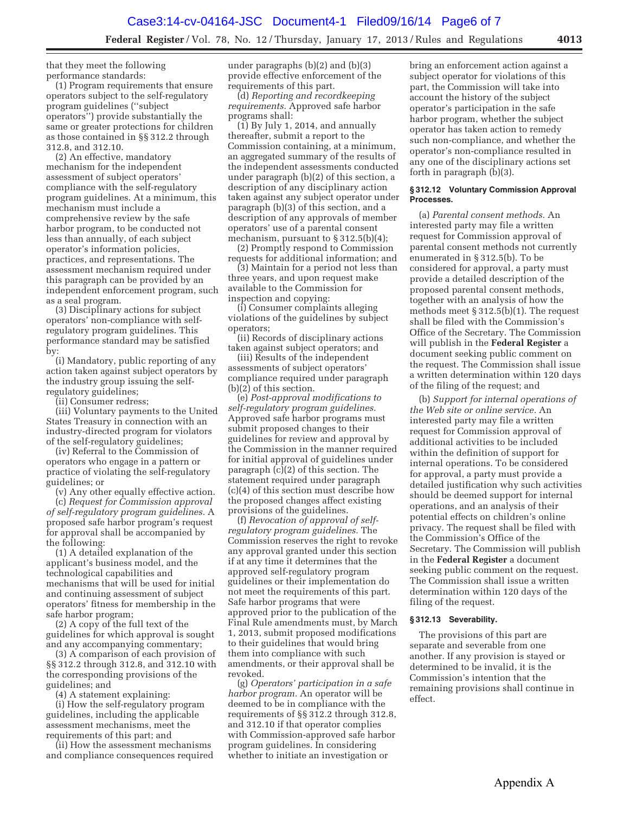that they meet the following performance standards:

(1) Program requirements that ensure operators subject to the self-regulatory program guidelines (''subject operators'') provide substantially the same or greater protections for children as those contained in §§ 312.2 through 312.8, and 312.10.

(2) An effective, mandatory mechanism for the independent assessment of subject operators' compliance with the self-regulatory program guidelines. At a minimum, this mechanism must include a comprehensive review by the safe harbor program, to be conducted not less than annually, of each subject operator's information policies, practices, and representations. The assessment mechanism required under this paragraph can be provided by an independent enforcement program, such as a seal program.

(3) Disciplinary actions for subject operators' non-compliance with selfregulatory program guidelines. This performance standard may be satisfied by:

(i) Mandatory, public reporting of any action taken against subject operators by the industry group issuing the selfregulatory guidelines;

(ii) Consumer redress;

(iii) Voluntary payments to the United States Treasury in connection with an industry-directed program for violators of the self-regulatory guidelines;

(iv) Referral to the Commission of operators who engage in a pattern or practice of violating the self-regulatory guidelines; or

(v) Any other equally effective action. (c) *Request for Commission approval of self-regulatory program guidelines.* A proposed safe harbor program's request for approval shall be accompanied by the following:

(1) A detailed explanation of the applicant's business model, and the technological capabilities and mechanisms that will be used for initial and continuing assessment of subject operators' fitness for membership in the safe harbor program;

(2) A copy of the full text of the guidelines for which approval is sought and any accompanying commentary;

(3) A comparison of each provision of §§ 312.2 through 312.8, and 312.10 with the corresponding provisions of the guidelines; and

(4) A statement explaining:

(i) How the self-regulatory program guidelines, including the applicable assessment mechanisms, meet the requirements of this part; and

(ii) How the assessment mechanisms and compliance consequences required under paragraphs (b)(2) and (b)(3) provide effective enforcement of the requirements of this part.

(d) *Reporting and recordkeeping requirements.* Approved safe harbor programs shall:

 $(1)$  By July 1, 2014, and annually thereafter, submit a report to the Commission containing, at a minimum, an aggregated summary of the results of the independent assessments conducted under paragraph (b)(2) of this section, a description of any disciplinary action taken against any subject operator under paragraph (b)(3) of this section, and a description of any approvals of member operators' use of a parental consent mechanism, pursuant to § 312.5(b)(4);

(2) Promptly respond to Commission requests for additional information; and

(3) Maintain for a period not less than three years, and upon request make available to the Commission for inspection and copying:

(i) Consumer complaints alleging violations of the guidelines by subject operators;

(ii) Records of disciplinary actions taken against subject operators; and

(iii) Results of the independent assessments of subject operators' compliance required under paragraph (b)(2) of this section.

(e) *Post-approval modifications to self-regulatory program guidelines.*  Approved safe harbor programs must submit proposed changes to their guidelines for review and approval by the Commission in the manner required for initial approval of guidelines under paragraph (c)(2) of this section. The statement required under paragraph (c)(4) of this section must describe how the proposed changes affect existing provisions of the guidelines.

(f) *Revocation of approval of selfregulatory program guidelines.* The Commission reserves the right to revoke any approval granted under this section if at any time it determines that the approved self-regulatory program guidelines or their implementation do not meet the requirements of this part. Safe harbor programs that were approved prior to the publication of the Final Rule amendments must, by March 1, 2013, submit proposed modifications to their guidelines that would bring them into compliance with such amendments, or their approval shall be revoked.

(g) *Operators' participation in a safe harbor program.* An operator will be deemed to be in compliance with the requirements of §§ 312.2 through 312.8, and 312.10 if that operator complies with Commission-approved safe harbor program guidelines. In considering whether to initiate an investigation or

bring an enforcement action against a subject operator for violations of this part, the Commission will take into account the history of the subject operator's participation in the safe harbor program, whether the subject operator has taken action to remedy such non-compliance, and whether the operator's non-compliance resulted in any one of the disciplinary actions set forth in paragraph (b)(3).

#### **§ 312.12 Voluntary Commission Approval Processes.**

(a) *Parental consent methods.* An interested party may file a written request for Commission approval of parental consent methods not currently enumerated in § 312.5(b). To be considered for approval, a party must provide a detailed description of the proposed parental consent methods, together with an analysis of how the methods meet § 312.5(b)(1). The request shall be filed with the Commission's Office of the Secretary. The Commission will publish in the **Federal Register** a document seeking public comment on the request. The Commission shall issue a written determination within 120 days of the filing of the request; and

(b) *Support for internal operations of the Web site or online service.* An interested party may file a written request for Commission approval of additional activities to be included within the definition of support for internal operations. To be considered for approval, a party must provide a detailed justification why such activities should be deemed support for internal operations, and an analysis of their potential effects on children's online privacy. The request shall be filed with the Commission's Office of the Secretary. The Commission will publish in the **Federal Register** a document seeking public comment on the request. The Commission shall issue a written determination within 120 days of the filing of the request.

### **§ 312.13 Severability.**

The provisions of this part are separate and severable from one another. If any provision is stayed or determined to be invalid, it is the Commission's intention that the remaining provisions shall continue in effect.